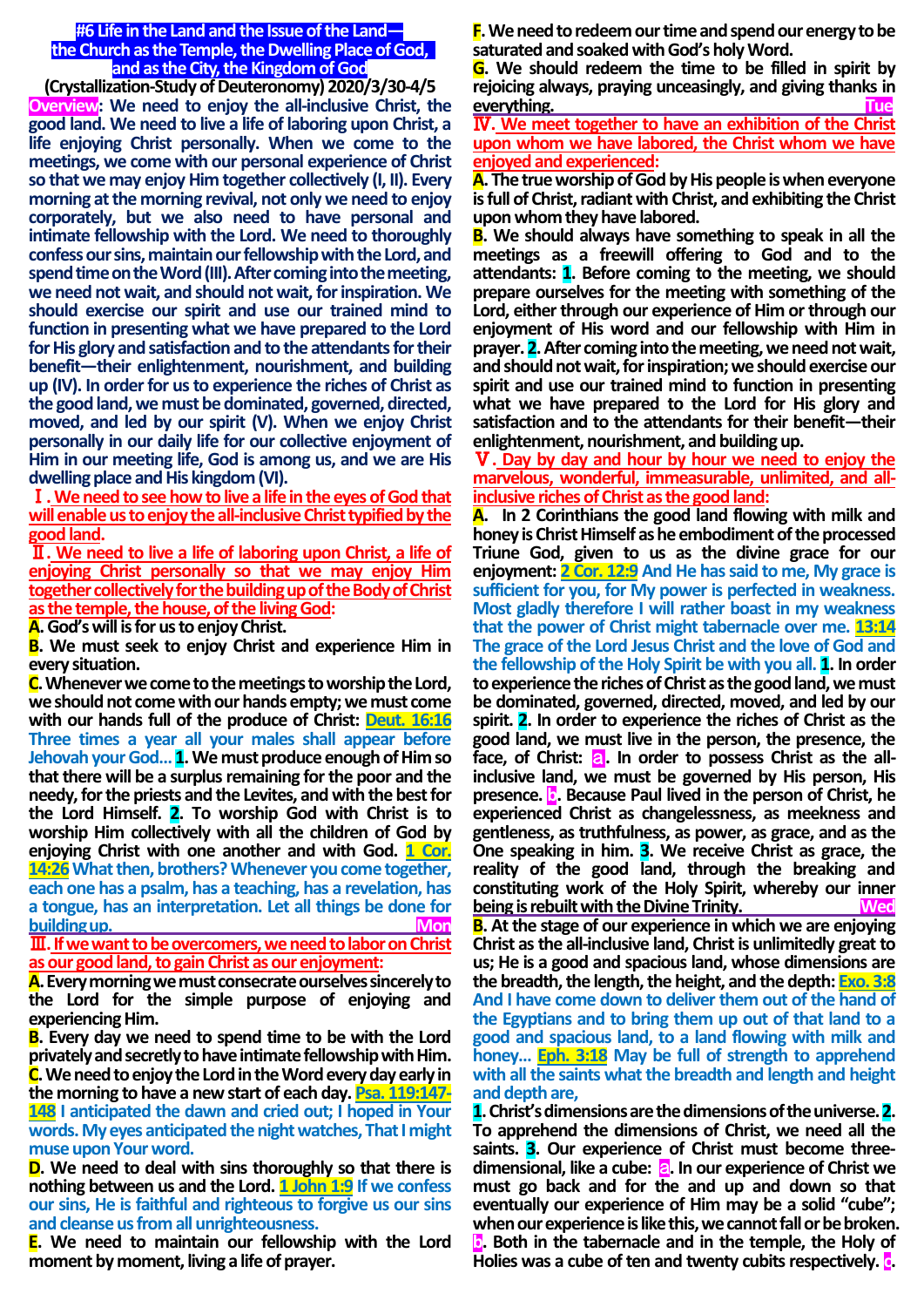#### **#6 Life in the Land and the Issue of the Land the Church as the Temple, the Dwelling Place of God, and as the City, the Kingdom of God**

**(Crystallization-Study of Deuteronomy) 2020/3/30-4/5 Overview: We need to enjoy the all-inclusive Christ, the good land. We need to live a life of laboring upon Christ, a life enjoying Christ personally. When we come to the meetings, we come with our personal experience of Christ so that we may enjoy Him together collectively (I, II). Every morning at the morning revival, not only we need to enjoy corporately, but we also need to have personal and intimate fellowship with the Lord. We need to thoroughly confess our sins, maintain our fellowship with the Lord, and spend time on the Word(III). After coming into the meeting, we need not wait, and should not wait, for inspiration. We should exercise our spirit and use our trained mind to function in presenting what we have prepared to the Lord for His glory and satisfaction and to the attendants for their benefit—their enlightenment, nourishment, and building up (IV). In order for us to experience the riches of Christ as the good land, we must be dominated, governed, directed, moved, and led by our spirit (V). When we enjoy Christ personally in our daily life for our collective enjoyment of Him in our meeting life, God is among us, and we are His dwelling place and His kingdom (VI).**

Ⅰ**.We need to see how to live a life in the eyes of God that**  will enable us to enjoy the all-inclusive Christ typified by the **good land.**

Ⅱ**. We need to live a life of laboring upon Christ, a life of enjoying Christ personally so that we may enjoy Him together collectively for the building up of the Body of Christ as the temple, the house, of the living God:**

**A.God's will is for us to enjoy Christ.**

**B. We must seek to enjoy Christ and experience Him in every situation.**

**C.Whenever we come to the meetings to worship the Lord, we should not come with our hands empty; we must come with our hands full of the produce of Christ: Deut. 16:16 Three times a year all your males shall appear before Jehovah your God…1.We must produce enough of Him so that there will be a surplus remaining for the poor and the needy, for the priests and the Levites, and with the best for the Lord Himself. 2. To worship God with Christ is to worship Him collectively with all the children of God by enjoying Christ with one another and with God. 1 Cor. 14:26 What then, brothers? Whenever you come together, each one has a psalm, has a teaching, has a revelation, has a tongue, has an interpretation. Let all things be done for building up. Mon** 

Ⅲ**.If we want to be overcomers, we need to labor on Christ as our good land, to gain Christ as our enjoyment:**

**A.Every morning we must consecrate ourselves sincerely to the Lord for the simple purpose of enjoying and experiencing Him.**

**B. Every day we need to spend time to be with the Lord privately and secretly to have intimate fellowship with Him. C.We need to enjoy the Lord in the Word every day early in the morning to have a new start of each day. Psa. 119:147- 148 I anticipated the dawn and cried out; I hoped in Your words. My eyes anticipated the night watches, That I might muse upon Your word.**

**D. We need to deal with sins thoroughly so that there is nothing between us and the Lord. 1 John 1:9 If we confess our sins, He is faithful and righteous to forgive us our sins and cleanse us from all unrighteousness.**

**E. We need to maintain our fellowship with the Lord moment by moment, living a life of prayer.**

**F.We need to redeem our time and spend our energy to be saturated and soaked with God's holy Word.**

**G. We should redeem the time to be filled in spirit by rejoicing always, praying unceasingly, and giving thanks in everything. Tue**

Ⅳ**. We meet together to have an exhibition of the Christ upon whom we have labored, the Christ whom we have enjoyed and experienced:** 

**A. The true worship of God by His people is when everyone is full of Christ, radiant with Christ, and exhibiting the Christ upon whom they have labored.**

**B. We should always have something to speak in all the meetings as a freewill offering to God and to the attendants: 1. Before coming to the meeting, we should prepare ourselves for the meeting with something of the Lord, either through our experience of Him or through our enjoyment of His word and our fellowship with Him in prayer. 2.After coming into the meeting, we need not wait, and should not wait, for inspiration; we should exercise our spirit and use our trained mind to function in presenting what we have prepared to the Lord for His glory and satisfaction and to the attendants for their benefit—their enlightenment, nourishment, and building up.**

Ⅴ**. Day by day and hour by hour we need to enjoy the marvelous, wonderful, immeasurable, unlimited, and allinclusive riches of Christ as the good land:**

**A. In 2 Corinthians the good land flowing with milk and**  honey is Christ Himself as he embodiment of the processed **Triune God, given to us as the divine grace for our enjoyment: 2 Cor. 12:9 And He has said to me, My grace is sufficient for you, for My power is perfected in weakness. Most gladly therefore I will rather boast in my weakness that the power of Christ might tabernacle over me. 13:14 The grace of the Lord Jesus Christ and the love of God and the fellowship of the Holy Spirit be with you all. 1. In order to experience the riches of Christ as the good land, we must be dominated, governed, directed, moved, and led by our spirit. 2. In order to experience the riches of Christ as the good land, we must live in the person, the presence, the**  face, of Christ: **a**. In order to possess Christ as the all**inclusive land, we must be governed by His person, His presence. b. Because Paul lived in the person of Christ, he experienced Christ as changelessness, as meekness and gentleness, as truthfulness, as power, as grace, and as the One speaking in him. 3. We receive Christ as grace, the reality of the good land, through the breaking and constituting work of the Holy Spirit, whereby our inner being is rebuilt with the Divine Trinity.** 

**B. At the stage of our experience in which we are enjoying Christ as the all-inclusive land, Christ is unlimitedly great to us; He is a good and spacious land, whose dimensions are the breadth, the length, the height, and the depth: Exo. 3:8 And I have come down to deliver them out of the hand of the Egyptians and to bring them up out of that land to a good and spacious land, to a land flowing with milk and honey… Eph. 3:18 May be full of strength to apprehend with all the saints what the breadth and length and height and depth are,**

**1.Christ's dimensions are the dimensions of the universe.2. To apprehend the dimensions of Christ, we need all the saints. 3. Our experience of Christ must become threedimensional, like a cube:** a**. In our experience of Christ we must go back and for the and up and down so that eventually our experience of Him may be a solid "cube"; when our experience is like this, we cannot fall or be broken. b. Both in the tabernacle and in the temple, the Holy of Holies was a cube of ten and twenty cubits respectively. c.**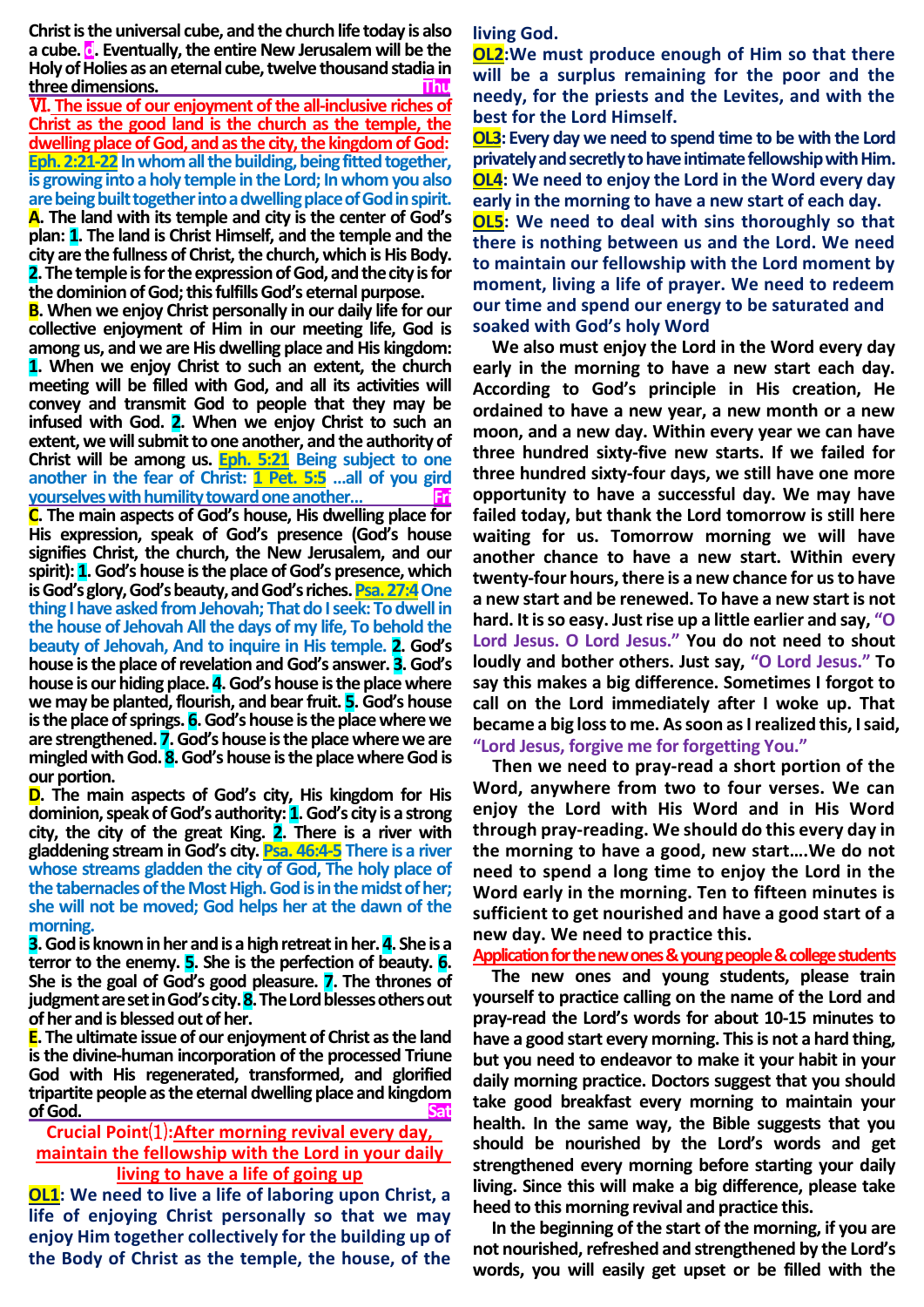**Christ is the universal cube, and the church life today is also a cube. d. Eventually, the entire New Jerusalem will be the Holy of Holies as an eternal cube, twelve thousand stadia in three dimensions.** 

Ⅵ**. The issue of our enjoyment of the all-inclusive riches of Christ as the good land is the church as the temple, the dwelling place of God, and as the city, the kingdom of God: Eph. 2:21-22** In whom all the building, being fitted together, **is growing into a holy temple in the Lord; In whom you also are being built together into a dwelling place of God in spirit. A. The land with its temple and city is the center of God's plan: 1. The land is Christ Himself, and the temple and the city are the fullness of Christ, the church, which is His Body. 2.The temple is for the expression of God, and the city is for the dominion of God; this fulfills God's eternal purpose.**

**B. When we enjoy Christ personally in our daily life for our collective enjoyment of Him in our meeting life, God is among us, and we are His dwelling place and His kingdom: 1. When we enjoy Christ to such an extent, the church meeting will be filled with God, and all its activities will convey and transmit God to people that they may be infused with God. 2. When we enjoy Christ to such an extent, we will submit to one another, and the authority of Christ will be among us. Eph. 5:21 Being subject to one another in the fear of Christ: 1 Pet. 5:5 …all of you gird yourselves with humility toward one another...** 

**C. The main aspects of God's house, His dwelling place for His expression, speak of God's presence (God's house signifies Christ, the church, the New Jerusalem, and our spirit): 1.God's house is the place of God's presence, which is God's glory, God's beauty, and God's riches. Psa. 27:4One thing I have asked from Jehovah; That do I seek: To dwell in the house of Jehovah All the days of my life, To behold the beauty of Jehovah, And to inquire in His temple. 2. God's house is the place of revelation and God's answer. 3.God's house is our hiding place. 4.God's house is the place where we may be planted, flourish, and bear fruit. 5.God's house is the place of springs. 6.God's house is the place where we are strengthened. 7.God's house is the place where we are mingled with God. 8.God's house is the place where God is our portion.**

**D. The main aspects of God's city, His kingdom for His dominion, speak of God's authority: 1.God's city is a strong city, the city of the great King. 2. There is a river with gladdening stream in God's city. Psa. 46:4-5 There is a river whose streams gladden the city of God, The holy place of the tabernacles of the Most High. God is in the midst of her; she will not be moved; God helps her at the dawn of the morning.**

**3.God is known in her and is a high retreat in her.4. She is a terror to the enemy. 5. She is the perfection of beauty. 6. She is the goal of God's good pleasure. 7. The thrones of judgment are set in God's city.8.The Lord blesses others out of her and is blessed out of her.**

**E. The ultimate issue of our enjoyment of Christ as the land is the divine-human incorporation of the processed Triune God with His regenerated, transformed, and glorified tripartite people as the eternal dwelling place and kingdom of God. Sat**

# **Crucial Point**⑴**:After morning revival every day, maintain the fellowship with the Lord in your daily living to have a life of going up**

**OL1: We need to live a life of laboring upon Christ, a life of enjoying Christ personally so that we may enjoy Him together collectively for the building up of the Body of Christ as the temple, the house, of the**  **living God.**

**OL2:We must produce enough of Him so that there will be a surplus remaining for the poor and the needy, for the priests and the Levites, and with the best for the Lord Himself.**

**OL3: Every day we need to spend time to be with the Lord privately and secretly to have intimate fellowship with Him. OL4: We need to enjoy the Lord in the Word every day early in the morning to have a new start of each day.**

**OL5: We need to deal with sins thoroughly so that there is nothing between us and the Lord. We need to maintain our fellowship with the Lord moment by moment, living a life of prayer. We need to redeem our time and spend our energy to be saturated and soaked with God's holy Word** 

**We also must enjoy the Lord in the Word every day early in the morning to have a new start each day. According to God's principle in His creation, He ordained to have a new year, a new month or a new moon, and a new day. Within every year we can have three hundred sixty-five new starts. If we failed for three hundred sixty-four days, we still have one more opportunity to have a successful day. We may have failed today, but thank the Lord tomorrow is still here waiting for us. Tomorrow morning we will have another chance to have a new start. Within every twenty-four hours, there is a new chance for us to have a new start and be renewed. To have a new start is not hard. It is so easy. Just rise up a little earlier and say, "O Lord Jesus. O Lord Jesus." You do not need to shout loudly and bother others. Just say, "O Lord Jesus." To say this makes a big difference. Sometimes I forgot to call on the Lord immediately after I woke up. That became a big loss to me. As soon as I realized this, I said, "Lord Jesus, forgive me for forgetting You."**

**Then we need to pray-read a short portion of the Word, anywhere from two to four verses. We can enjoy the Lord with His Word and in His Word through pray-reading. We should do this every day in the morning to have a good, new start….We do not need to spend a long time to enjoy the Lord in the Word early in the morning. Ten to fifteen minutes is sufficient to get nourished and have a good start of a new day. We need to practice this.** 

**Application for the new ones & young people & college students**

**The new ones and young students, please train yourself to practice calling on the name of the Lord and pray-read the Lord's words for about 10-15 minutes to have a good start every morning. This is not a hard thing, but you need to endeavor to make it your habit in your daily morning practice. Doctors suggest that you should take good breakfast every morning to maintain your health. In the same way, the Bible suggests that you should be nourished by the Lord's words and get strengthened every morning before starting your daily living. Since this will make a big difference, please take heed to this morning revival and practice this.** 

**In the beginning of the start of the morning, if you are not nourished, refreshed and strengthened by the Lord's words, you will easily get upset or be filled with the**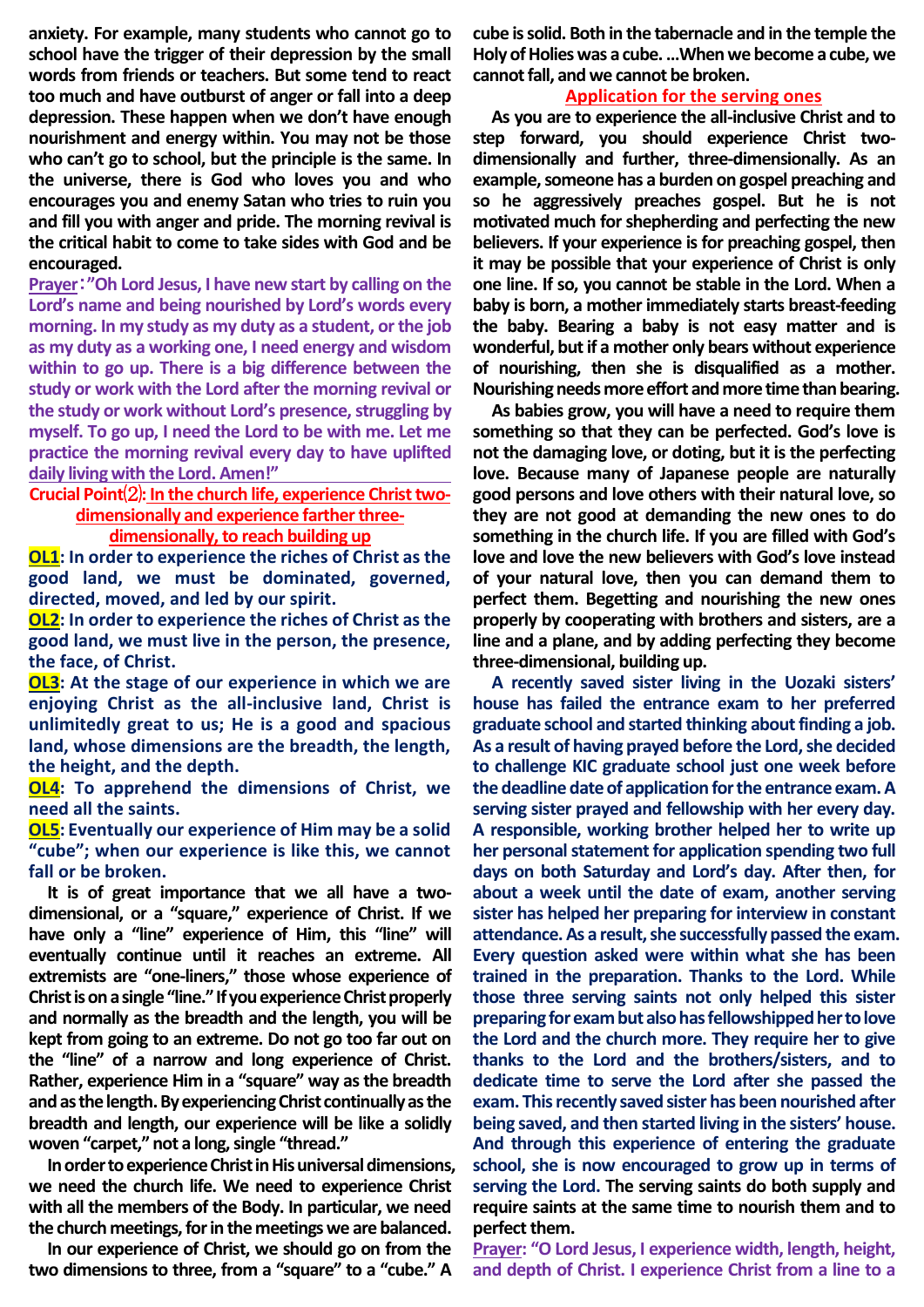**anxiety. For example, many students who cannot go to school have the trigger of their depression by the small words from friends or teachers. But some tend to react too much and have outburst of anger or fall into a deep depression. These happen when we don't have enough nourishment and energy within. You may not be those who can't go to school, but the principle is the same. In the universe, there is God who loves you and who encourages you and enemy Satan who tries to ruin you and fill you with anger and pride. The morning revival is the critical habit to come to take sides with God and be encouraged.**

**Prayer**:**"Oh Lord Jesus, I have new start by calling on the Lord's name and being nourished by Lord's words every morning. In my study as my duty as a student, or the job as my duty as a working one, I need energy and wisdom within to go up. There is a big difference between the study or work with the Lord after the morning revival or the study or work without Lord's presence, struggling by myself. To go up, I need the Lord to be with me. Let me practice the morning revival every day to have uplifted daily living with the Lord. Amen!"** 

**Crucial Point**⑵**: In the church life, experience Christ twodimensionally and experience farther three-**

## **dimensionally, to reach building up**

**OL1: In order to experience the riches of Christ as the good land, we must be dominated, governed, directed, moved, and led by our spirit.**

**OL2: In order to experience the riches of Christ as the good land, we must live in the person, the presence, the face, of Christ.**

**OL3: At the stage of our experience in which we are enjoying Christ as the all-inclusive land, Christ is unlimitedly great to us; He is a good and spacious land, whose dimensions are the breadth, the length, the height, and the depth.**

**OL4: To apprehend the dimensions of Christ, we need all the saints.**

**OL5: Eventually our experience of Him may be a solid "cube"; when our experience is like this, we cannot fall or be broken.**

**It is of great importance that we all have a twodimensional, or a "square," experience of Christ. If we have only a "line" experience of Him, this "line" will eventually continue until it reaches an extreme. All extremists are "one-liners," those whose experience of Christ is on a single "line." If you experience Christ properly and normally as the breadth and the length, you will be kept from going to an extreme. Do not go too far out on the "line" of a narrow and long experience of Christ. Rather, experience Him in a "square" way as the breadth and as the length. By experiencing Christ continually as the breadth and length, our experience will be like a solidly woven "carpet," not a long, single "thread."** 

**In order to experience Christ in His universal dimensions, we need the church life. We need to experience Christ with all the members of the Body. In particular, we need the church meetings, for in the meetings we are balanced.**

**In our experience of Christ, we should go on from the two dimensions to three, from a "square" to a "cube." A** 

**cube is solid. Both in the tabernacle and in the temple the Holy of Holies was a cube. …When we become a cube, we cannot fall, and we cannot be broken.**

#### **Application for the serving ones**

**As you are to experience the all-inclusive Christ and to step forward, you should experience Christ twodimensionally and further, three-dimensionally. As an example, someone has a burden on gospel preaching and so he aggressively preaches gospel. But he is not motivated much for shepherding and perfecting the new believers. If your experience is for preaching gospel, then it may be possible that your experience of Christ is only one line. If so, you cannot be stable in the Lord. When a baby is born, a mother immediately starts breast-feeding the baby. Bearing a baby is not easy matter and is wonderful, but if a mother only bears without experience of nourishing, then she is disqualified as a mother. Nourishing needs more effort and more time than bearing.**

**As babies grow, you will have a need to require them something so that they can be perfected. God's love is not the damaging love, or doting, but it is the perfecting love. Because many of Japanese people are naturally good persons and love others with their natural love, so they are not good at demanding the new ones to do something in the church life. If you are filled with God's love and love the new believers with God's love instead of your natural love, then you can demand them to perfect them. Begetting and nourishing the new ones properly by cooperating with brothers and sisters, are a line and a plane, and by adding perfecting they become three-dimensional, building up.**

**A recently saved sister living in the Uozaki sisters' house has failed the entrance exam to her preferred graduate school and started thinking about finding a job. As a result of having prayed before the Lord, she decided to challenge KIC graduate school just one week before the deadline date of application for the entrance exam. A serving sister prayed and fellowship with her every day. A responsible, working brother helped her to write up her personal statement for application spending two full days on both Saturday and Lord's day. After then, for about a week until the date of exam, another serving sister has helped her preparing for interview in constant attendance.As a result, she successfully passed the exam. Every question asked were within what she has been trained in the preparation. Thanks to the Lord. While those three serving saints not only helped this sister preparing for exam but also has fellowshipped her to love the Lord and the church more. They require her to give thanks to the Lord and the brothers/sisters, and to dedicate time to serve the Lord after she passed the exam. This recently saved sister has been nourished after being saved, and then started living in the sisters' house. And through this experience of entering the graduate school, she is now encouraged to grow up in terms of serving the Lord. The serving saints do both supply and require saints at the same time to nourish them and to perfect them.**

**Prayer: "O Lord Jesus, I experience width, length, height, and depth of Christ. I experience Christ from a line to a**